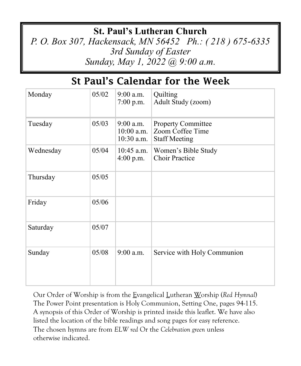## **St. Paul's Lutheran Church**

*P. O. Box 307, Hackensack, MN 56452 Ph.: ( 218 ) 675-6335 3rd Sunday of Easter Sunday, May 1, 2022 @ 9:00 a.m.*

## St Paul's Calendar for the Week

| Monday    | 05/02 | $9:00$ a.m.<br>$7:00$ p.m.                  | Quilting<br>Adult Study (zoom)                                        |
|-----------|-------|---------------------------------------------|-----------------------------------------------------------------------|
| Tuesday   | 05/03 | $9:00$ a.m.<br>$10:00$ a.m.<br>$10:30$ a.m. | <b>Property Committee</b><br>Zoom Coffee Time<br><b>Staff Meeting</b> |
| Wednesday | 05/04 | $10:45$ a.m.<br>$4:00$ p.m.                 | Women's Bible Study<br><b>Choir Practice</b>                          |
| Thursday  | 05/05 |                                             |                                                                       |
| Friday    | 05/06 |                                             |                                                                       |
| Saturday  | 05/07 |                                             |                                                                       |
| Sunday    | 05/08 | $9:00$ a.m.                                 | Service with Holy Communion                                           |

Our Order of Worship is from the Evangelical Lutheran Worship (*Red Hymnal*) The Power Point presentation is Holy Communion, Setting One, pages 94-115. A synopsis of this Order of Worship is printed inside this leaflet. We have also listed the location of the bible readings and song pages for easy reference. The chosen hymns are from *ELW red* Or the *Celebration green* unless otherwise indicated.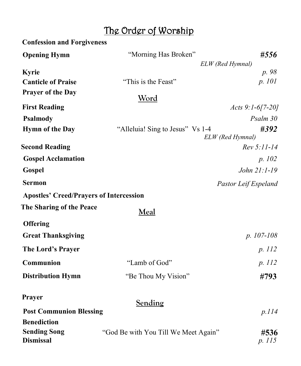# The Order of Worship

| <b>Confession and Forgiveness</b>              |                                      |                          |
|------------------------------------------------|--------------------------------------|--------------------------|
| <b>Opening Hymn</b>                            | "Morning Has Broken"                 | #556                     |
|                                                |                                      | ELW (Red Hymnal)         |
| <b>Kyrie</b>                                   |                                      | p. 98                    |
| <b>Canticle of Praise</b>                      | "This is the Feast"                  | p. 101                   |
| <b>Prayer of the Day</b>                       | <u>Word</u>                          |                          |
| <b>First Reading</b>                           |                                      | Acts $9:1-6[7-20]$       |
| <b>Psalmody</b>                                |                                      | Psalm 30                 |
| <b>Hymn of the Day</b>                         | "Alleluia! Sing to Jesus" Vs 1-4     | #392<br>ELW (Red Hymnal) |
| <b>Second Reading</b>                          |                                      | Rev 5:11-14              |
| <b>Gospel Acclamation</b>                      |                                      | p. 102                   |
| Gospel                                         |                                      | John 21:1-19             |
| <b>Sermon</b>                                  |                                      | Pastor Leif Espeland     |
| <b>Apostles' Creed/Prayers of Intercession</b> |                                      |                          |
| The Sharing of the Peace                       | Meal                                 |                          |
| <b>Offering</b>                                |                                      |                          |
| <b>Great Thanksgiving</b>                      |                                      | $p. 107-108$             |
| The Lord's Prayer                              |                                      | p. 112                   |
| Communion                                      | "Lamb of God"                        | p. 112                   |
| <b>Distribution Hymn</b>                       | "Be Thou My Vision"                  | #793                     |
| Prayer                                         | <b>Sending</b>                       |                          |
| <b>Post Communion Blessing</b>                 |                                      | p.114                    |
| <b>Benediction</b>                             |                                      |                          |
| <b>Sending Song</b><br><b>Dismissal</b>        | "God Be with You Till We Meet Again" | #536<br>p. 115           |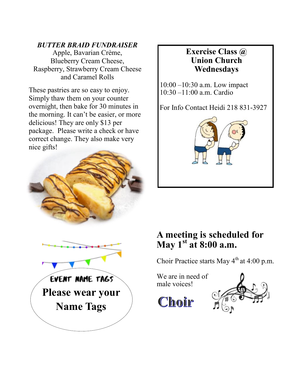#### *BUTTER BRAID FUNDRAISER*

Apple, Bavarian Crème, Blueberry Cream Cheese, Raspberry, Strawberry Cream Cheese and Caramel Rolls

These pastries are so easy to enjoy. Simply thaw them on your counter overnight, then bake for 30 minutes in the morning. It can't be easier, or more delicious! They are only \$13 per package. Please write a check or have correct change. They also make very nice gifts!





#### **Exercise Class @ Union Church Wednesdays**

10:00 –10:30 a.m. Low impact 10:30 –11:00 a.m. Cardio

For Info Contact Heidi 218 831-3927



### **A meeting is scheduled for May 1st at 8:00 a.m.**

Choir Practice starts May  $4<sup>th</sup>$  at 4:00 p.m.

We are in need of male voices!

Choir